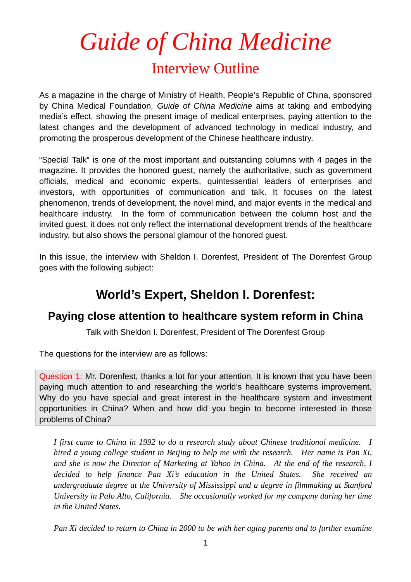## *Guide of China Medicine*

## Interview Outline

As a magazine in the charge of Ministry of Health, People's Republic of China, sponsored by China Medical Foundation, *Guide of China Medicine* aims at taking and embodying media's effect, showing the present image of medical enterprises, paying attention to the latest changes and the development of advanced technology in medical industry, and promoting the prosperous development of the Chinese healthcare industry.

"Special Talk" is one of the most important and outstanding columns with 4 pages in the magazine. It provides the honored guest, namely the authoritative, such as government officials, medical and economic experts, quintessential leaders of enterprises and investors, with opportunities of communication and talk. It focuses on the latest phenomenon, trends of development, the novel mind, and major events in the medical and healthcare industry. In the form of communication between the column host and the invited guest, it does not only reflect the international development trends of the healthcare industry, but also shows the personal glamour of the honored guest.

In this issue, the interview with Sheldon I. Dorenfest, President of The Dorenfest Group goes with the following subject:

## **World's Expert, Sheldon I. Dorenfest:**

## **Paying close attention to healthcare system reform in China**

Talk with Sheldon I. Dorenfest, President of The Dorenfest Group

The questions for the interview are as follows:

Question 1: Mr. Dorenfest, thanks a lot for your attention. It is known that you have been paying much attention to and researching the world's healthcare systems improvement. Why do you have special and great interest in the healthcare system and investment opportunities in China? When and how did you begin to become interested in those problems of China?

*I first came to China in 1992 to do a research study about Chinese traditional medicine. I hired a young college student in Beijing to help me with the research. Her name is Pan Xi, and she is now the Director of Marketing at Yahoo in China. At the end of the research, I decided to help finance Pan Xi's education in the United States. She received an undergraduate degree at the University of Mississippi and a degree in filmmaking at Stanford University in Palo Alto, California. She occasionally worked for my company during her time in the United States.* 

*Pan Xi decided to return to China in 2000 to be with her aging parents and to further examine*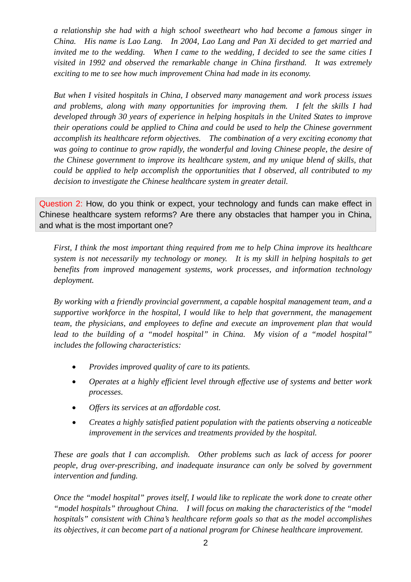*a relationship she had with a high school sweetheart who had become a famous singer in China. His name is Lao Lang. In 2004, Lao Lang and Pan Xi decided to get married and invited me to the wedding. When I came to the wedding, I decided to see the same cities I visited in 1992 and observed the remarkable change in China firsthand. It was extremely exciting to me to see how much improvement China had made in its economy.* 

*But when I visited hospitals in China, I observed many management and work process issues and problems, along with many opportunities for improving them. I felt the skills I had developed through 30 years of experience in helping hospitals in the United States to improve their operations could be applied to China and could be used to help the Chinese government accomplish its healthcare reform objectives. The combination of a very exciting economy that was going to continue to grow rapidly, the wonderful and loving Chinese people, the desire of the Chinese government to improve its healthcare system, and my unique blend of skills, that could be applied to help accomplish the opportunities that I observed, all contributed to my decision to investigate the Chinese healthcare system in greater detail.* 

Question 2: How, do you think or expect, your technology and funds can make effect in Chinese healthcare system reforms? Are there any obstacles that hamper you in China, and what is the most important one?

*First, I think the most important thing required from me to help China improve its healthcare system is not necessarily my technology or money. It is my skill in helping hospitals to get benefits from improved management systems, work processes, and information technology deployment.* 

*By working with a friendly provincial government, a capable hospital management team, and a supportive workforce in the hospital, I would like to help that government, the management team, the physicians, and employees to define and execute an improvement plan that would lead to the building of a "model hospital" in China. My vision of a "model hospital" includes the following characteristics:* 

- *Provides improved quality of care to its patients.*
- *Operates at a highly efficient level through effective use of systems and better work processes.*
- *Offers its services at an affordable cost.*
- *Creates a highly satisfied patient population with the patients observing a noticeable improvement in the services and treatments provided by the hospital.*

*These are goals that I can accomplish. Other problems such as lack of access for poorer people, drug over-prescribing, and inadequate insurance can only be solved by government intervention and funding.* 

*Once the "model hospital" proves itself, I would like to replicate the work done to create other "model hospitals" throughout China. I will focus on making the characteristics of the "model hospitals" consistent with China's healthcare reform goals so that as the model accomplishes its objectives, it can become part of a national program for Chinese healthcare improvement.*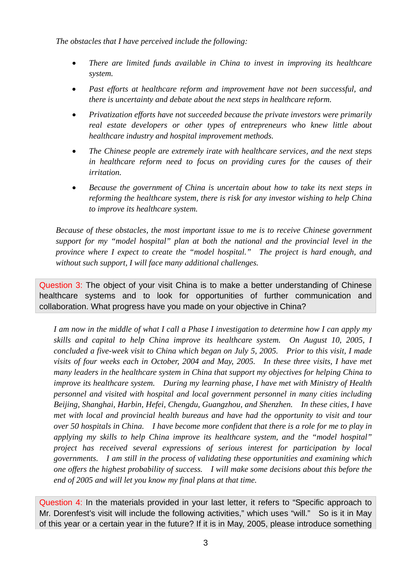*The obstacles that I have perceived include the following:* 

- *There are limited funds available in China to invest in improving its healthcare system.*
- *Past efforts at healthcare reform and improvement have not been successful, and there is uncertainty and debate about the next steps in healthcare reform.*
- *Privatization efforts have not succeeded because the private investors were primarily real estate developers or other types of entrepreneurs who knew little about healthcare industry and hospital improvement methods.*
- *The Chinese people are extremely irate with healthcare services, and the next steps in healthcare reform need to focus on providing cures for the causes of their irritation.*
- *Because the government of China is uncertain about how to take its next steps in reforming the healthcare system, there is risk for any investor wishing to help China to improve its healthcare system.*

*Because of these obstacles, the most important issue to me is to receive Chinese government support for my "model hospital" plan at both the national and the provincial level in the province where I expect to create the "model hospital." The project is hard enough, and without such support, I will face many additional challenges.* 

Question 3: The object of your visit China is to make a better understanding of Chinese healthcare systems and to look for opportunities of further communication and collaboration. What progress have you made on your objective in China?

*I am now in the middle of what I call a Phase I investigation to determine how I can apply my skills and capital to help China improve its healthcare system. On August 10, 2005, I concluded a five-week visit to China which began on July 5, 2005. Prior to this visit, I made visits of four weeks each in October, 2004 and May, 2005. In these three visits, I have met many leaders in the healthcare system in China that support my objectives for helping China to improve its healthcare system. During my learning phase, I have met with Ministry of Health personnel and visited with hospital and local government personnel in many cities including Beijing, Shanghai, Harbin, Hefei, Chengdu, Guangzhou, and Shenzhen. In these cities, I have met with local and provincial health bureaus and have had the opportunity to visit and tour over 50 hospitals in China. I have become more confident that there is a role for me to play in applying my skills to help China improve its healthcare system, and the "model hospital" project has received several expressions of serious interest for participation by local governments. I am still in the process of validating these opportunities and examining which one offers the highest probability of success. I will make some decisions about this before the end of 2005 and will let you know my final plans at that time.* 

Question 4: In the materials provided in your last letter, it refers to "Specific approach to Mr. Dorenfest's visit will include the following activities," which uses "will." So is it in May of this year or a certain year in the future? If it is in May, 2005, please introduce something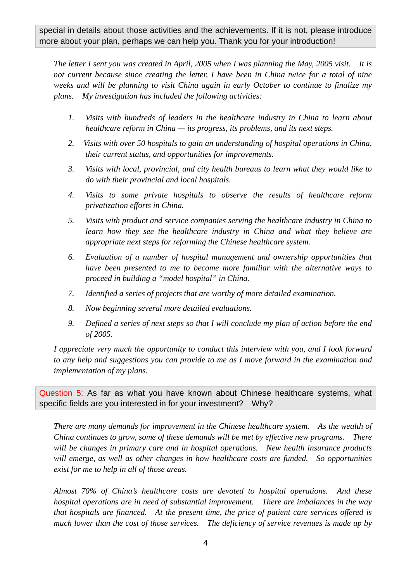*The letter I sent you was created in April, 2005 when I was planning the May, 2005 visit. It is not current because since creating the letter, I have been in China twice for a total of nine weeks and will be planning to visit China again in early October to continue to finalize my plans. My investigation has included the following activities:* 

- *1. Visits with hundreds of leaders in the healthcare industry in China to learn about healthcare reform in China — its progress, its problems, and its next steps.*
- *2. Visits with over 50 hospitals to gain an understanding of hospital operations in China, their current status, and opportunities for improvements.*
- *3. Visits with local, provincial, and city health bureaus to learn what they would like to do with their provincial and local hospitals.*
- *4. Visits to some private hospitals to observe the results of healthcare reform privatization efforts in China.*
- *5. Visits with product and service companies serving the healthcare industry in China to learn how they see the healthcare industry in China and what they believe are appropriate next steps for reforming the Chinese healthcare system.*
- *6. Evaluation of a number of hospital management and ownership opportunities that have been presented to me to become more familiar with the alternative ways to proceed in building a "model hospital" in China.*
- *7. Identified a series of projects that are worthy of more detailed examination.*
- *8. Now beginning several more detailed evaluations.*
- *9. Defined a series of next steps so that I will conclude my plan of action before the end of 2005.*

*I appreciate very much the opportunity to conduct this interview with you, and I look forward to any help and suggestions you can provide to me as I move forward in the examination and implementation of my plans.* 

Question 5: As far as what you have known about Chinese healthcare systems, what specific fields are you interested in for your investment? Why?

*There are many demands for improvement in the Chinese healthcare system. As the wealth of China continues to grow, some of these demands will be met by effective new programs. There will be changes in primary care and in hospital operations. New health insurance products will emerge, as well as other changes in how healthcare costs are funded. So opportunities exist for me to help in all of those areas.* 

*Almost 70% of China's healthcare costs are devoted to hospital operations. And these hospital operations are in need of substantial improvement. There are imbalances in the way that hospitals are financed. At the present time, the price of patient care services offered is much lower than the cost of those services. The deficiency of service revenues is made up by*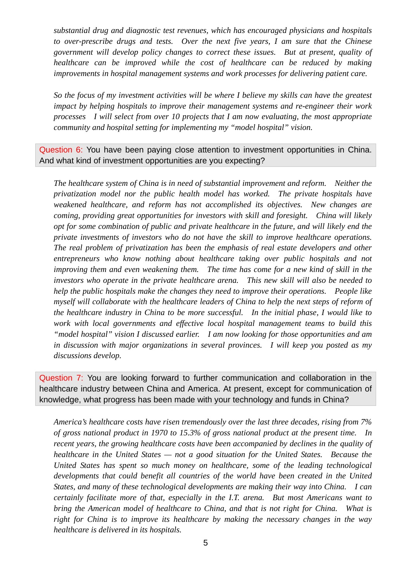*substantial drug and diagnostic test revenues, which has encouraged physicians and hospitals to over-prescribe drugs and tests. Over the next five years, I am sure that the Chinese government will develop policy changes to correct these issues. But at present, quality of healthcare can be improved while the cost of healthcare can be reduced by making improvements in hospital management systems and work processes for delivering patient care.* 

*So the focus of my investment activities will be where I believe my skills can have the greatest impact by helping hospitals to improve their management systems and re-engineer their work processes I will select from over 10 projects that I am now evaluating, the most appropriate community and hospital setting for implementing my "model hospital" vision.* 

Question 6: You have been paying close attention to investment opportunities in China. And what kind of investment opportunities are you expecting?

*The healthcare system of China is in need of substantial improvement and reform. Neither the privatization model nor the public health model has worked. The private hospitals have weakened healthcare, and reform has not accomplished its objectives. New changes are coming, providing great opportunities for investors with skill and foresight. China will likely opt for some combination of public and private healthcare in the future, and will likely end the private investments of investors who do not have the skill to improve healthcare operations. The real problem of privatization has been the emphasis of real estate developers and other entrepreneurs who know nothing about healthcare taking over public hospitals and not improving them and even weakening them. The time has come for a new kind of skill in the investors who operate in the private healthcare arena. This new skill will also be needed to help the public hospitals make the changes they need to improve their operations. People like myself will collaborate with the healthcare leaders of China to help the next steps of reform of the healthcare industry in China to be more successful. In the initial phase, I would like to work with local governments and effective local hospital management teams to build this "model hospital" vision I discussed earlier. I am now looking for those opportunities and am in discussion with major organizations in several provinces. I will keep you posted as my discussions develop.* 

Question 7: You are looking forward to further communication and collaboration in the healthcare industry between China and America. At present, except for communication of knowledge, what progress has been made with your technology and funds in China?

*America's healthcare costs have risen tremendously over the last three decades, rising from 7% of gross national product in 1970 to 15.3% of gross national product at the present time. In recent years, the growing healthcare costs have been accompanied by declines in the quality of healthcare in the United States — not a good situation for the United States. Because the United States has spent so much money on healthcare, some of the leading technological developments that could benefit all countries of the world have been created in the United States, and many of these technological developments are making their way into China. I can certainly facilitate more of that, especially in the I.T. arena. But most Americans want to bring the American model of healthcare to China, and that is not right for China. What is right for China is to improve its healthcare by making the necessary changes in the way healthcare is delivered in its hospitals.*